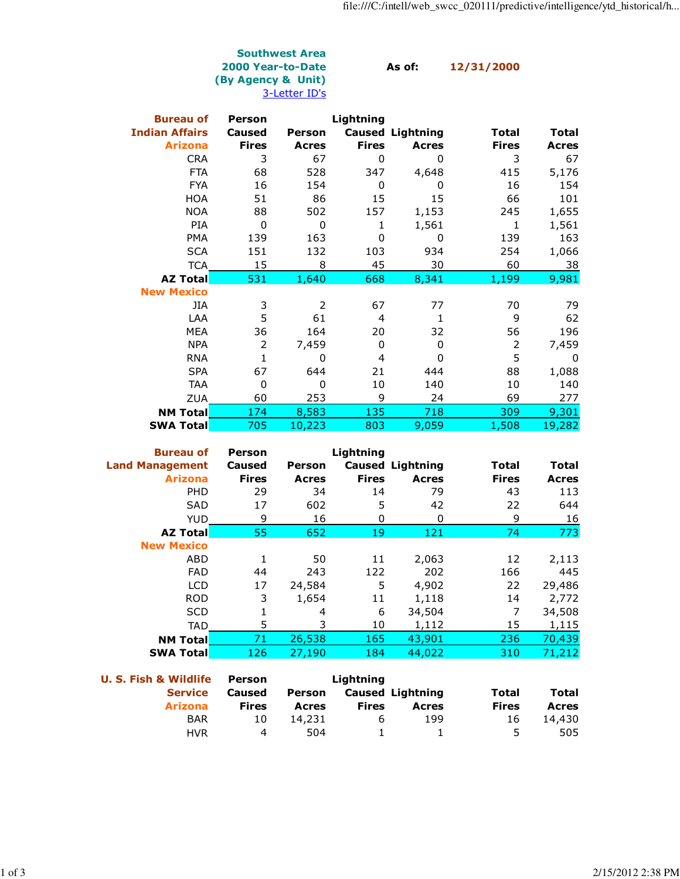## Southwest Area 2000 Year-to-Date As of: 12/31/2000 (By Agency & Unit) 3-Letter ID's

| <b>Bureau of</b>      | <b>Person</b>  |              | Lightning    |                         |                |              |
|-----------------------|----------------|--------------|--------------|-------------------------|----------------|--------------|
| <b>Indian Affairs</b> | <b>Caused</b>  | Person       |              | <b>Caused Lightning</b> | <b>Total</b>   | <b>Total</b> |
| <b>Arizona</b>        | <b>Fires</b>   | <b>Acres</b> | <b>Fires</b> | <b>Acres</b>            | <b>Fires</b>   | <b>Acres</b> |
| <b>CRA</b>            | 3              | 67           | 0            | 0                       | 3              | 67           |
| <b>FTA</b>            | 68             | 528          | 347          | 4,648                   | 415            | 5,176        |
| <b>FYA</b>            | 16             | 154          | 0            | 0                       | 16             | 154          |
| <b>HOA</b>            | 51             | 86           | 15           | 15                      | 66             | 101          |
| <b>NOA</b>            | 88             | 502          | 157          | 1,153                   | 245            | 1,655        |
| <b>PIA</b>            | 0              | 0            | 1            | 1,561                   | 1              | 1,561        |
| <b>PMA</b>            | 139            | 163          | 0            | 0                       | 139            | 163          |
| <b>SCA</b>            | 151            | 132          | 103          | 934                     | 254            | 1,066        |
| <b>TCA</b>            | 15             | 8            | 45           | 30                      | 60             | 38           |
| <b>AZ Total</b>       | 531            | 1,640        | 668          | 8,341                   | 1,199          | 9,981        |
| <b>New Mexico</b>     |                |              |              |                         |                |              |
| JIA                   | 3              | 2            | 67           | 77                      | 70             | 79           |
| LAA                   | 5              | 61           | 4            | 1                       | 9              | 62           |
| <b>MEA</b>            | 36             | 164          | 20           | 32                      | 56             | 196          |
| <b>NPA</b>            | $\overline{2}$ | 7,459        | 0            | 0                       | $\overline{2}$ | 7,459        |
| <b>RNA</b>            | $\mathbf{1}$   | 0            | 4            | 0                       | 5              | 0            |
| <b>SPA</b>            | 67             | 644          | 21           | 444                     | 88             | 1,088        |
| <b>TAA</b>            | 0              | 0            | 10           | 140                     | 10             | 140          |
| <b>ZUA</b>            | 60             | 253          | 9            | 24                      | 69             | 277          |
| <b>NM Total</b>       | 174            | 8,583        | 135          | 718                     | 309            | 9,301        |
| <b>SWA Total</b>      | 705            | 10,223       | 803          | 9,059                   | 1,508          | 19,282       |

| <b>Bureau of</b>       | <b>Person</b> |               | Lightning    |                         |              |              |
|------------------------|---------------|---------------|--------------|-------------------------|--------------|--------------|
| <b>Land Management</b> | <b>Caused</b> | <b>Person</b> |              | <b>Caused Lightning</b> | Total        | Total        |
| <b>Arizona</b>         | <b>Fires</b>  | <b>Acres</b>  | <b>Fires</b> | <b>Acres</b>            | <b>Fires</b> | <b>Acres</b> |
| <b>PHD</b>             | 29            | 34            | 14           | 79                      | 43           | 113          |
| <b>SAD</b>             | 17            | 602           | 5            | 42                      | 22           | 644          |
| <b>YUD</b>             | 9             | 16            | 0            | 0                       | 9            | 16           |
| <b>AZ Total</b>        | 55            | 652           | 19           | 121                     | 74           | 773          |
| <b>New Mexico</b>      |               |               |              |                         |              |              |
| ABD                    | 1             | 50            | 11           | 2,063                   | 12           | 2,113        |
| <b>FAD</b>             | 44            | 243           | 122          | 202                     | 166          | 445          |
| <b>LCD</b>             | 17            | 24,584        | 5            | 4,902                   | 22           | 29,486       |
| <b>ROD</b>             | 3             | 1,654         | 11           | 1,118                   | 14           | 2,772        |
| <b>SCD</b>             | 1             | 4             | 6            | 34,504                  | 7            | 34,508       |
| <b>TAD</b>             | 5             | 3             | 10           | 1,112                   | 15           | 1,115        |
| <b>NM Total</b>        | 71            | 26,538        | 165          | 43,901                  | 236          | 70,439       |
| <b>SWA Total</b>       | 126           | 27,190        | 184          | 44,022                  | 310          | 71,212       |

| <b>U. S. Fish &amp; Wildlife</b> | Person |        | Lightning    |                         |              |              |  |
|----------------------------------|--------|--------|--------------|-------------------------|--------------|--------------|--|
| <b>Service</b>                   | Caused |        |              | Person Caused Lightning | Total        | <b>Total</b> |  |
| <b>Arizona</b>                   | Fires  | Acres  | <b>Fires</b> | Acres                   | <b>Fires</b> | <b>Acres</b> |  |
| <b>BAR</b>                       | 10     | 14,231 | b            | 199                     | 16           | 14,430       |  |
| <b>HVR</b>                       | 4      | 504    |              |                         |              | 505          |  |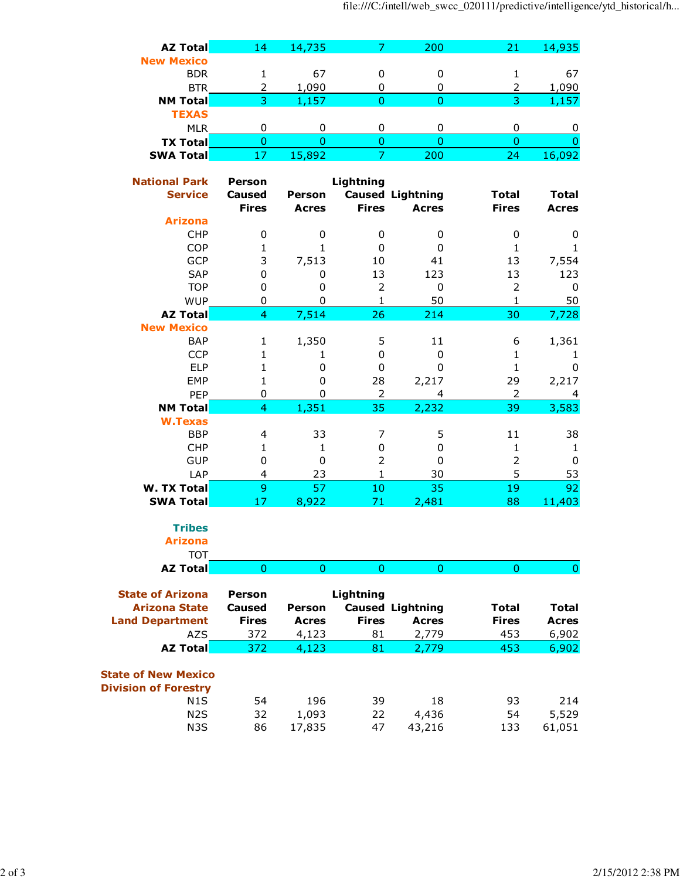|                              |                   |                   |                  |                         | file:///C:/intell/web_swcc_020111/predictive/intellige |              |
|------------------------------|-------------------|-------------------|------------------|-------------------------|--------------------------------------------------------|--------------|
| <b>AZ Total</b>              | 14                | 14,735            | 7                | 200                     | 21                                                     | 14,935       |
| <b>New Mexico</b>            |                   |                   |                  |                         |                                                        |              |
| <b>BDR</b>                   | 1                 | 67                | 0                | 0                       | 1                                                      | 67           |
| <b>BTR</b>                   | 2                 | 1,090             | 0                | 0                       | 2                                                      | 1,090        |
| <b>NM Total</b>              | 3                 | 1,157             | $\overline{0}$   | 0                       | 3                                                      | 1,157        |
| <b>TEXAS</b>                 |                   |                   |                  |                         |                                                        |              |
| <b>MLR</b>                   | 0                 | 0                 | 0                | 0                       | 0                                                      | 0            |
| <b>TX Total</b>              | $\mathbf{0}$      | $\overline{0}$    | $\mathbf 0$      | $\mathbf{0}$            | $\overline{0}$                                         | 0            |
| <b>SWA Total</b>             | 17                | 15,892            | $\overline{7}$   | 200                     | 24                                                     | 16,092       |
|                              |                   |                   |                  |                         |                                                        |              |
| <b>National Park</b>         | <b>Person</b>     |                   | Lightning        |                         |                                                        |              |
| <b>Service</b>               | <b>Caused</b>     | Person            |                  | <b>Caused Lightning</b> | <b>Total</b>                                           | <b>Total</b> |
| <b>Arizona</b>               | <b>Fires</b>      | <b>Acres</b>      | <b>Fires</b>     | <b>Acres</b>            | <b>Fires</b>                                           | <b>Acres</b> |
| <b>CHP</b>                   |                   |                   |                  |                         |                                                        |              |
| <b>COP</b>                   | 0<br>$\mathbf{1}$ | 0<br>$\mathbf{1}$ | 0<br>0           | 0<br>0                  | 0<br>$\mathbf{1}$                                      | 0<br>1       |
| GCP                          | 3                 | 7,513             | 10               | 41                      | 13                                                     | 7,554        |
| SAP                          | $\mathbf 0$       | 0                 | 13               | 123                     | 13                                                     | 123          |
| <b>TOP</b>                   | 0                 | 0                 | $\overline{2}$   | 0                       | $\overline{2}$                                         | 0            |
| <b>WUP</b>                   | 0                 | $\mathbf 0$       | $\mathbf{1}$     | 50                      | $\mathbf 1$                                            | 50           |
| <b>AZ Total</b>              | $\overline{4}$    | 7,514             | 26               | 214                     | 30                                                     | 7,728        |
| <b>New Mexico</b>            |                   |                   |                  |                         |                                                        |              |
| <b>BAP</b>                   | 1                 | 1,350             | 5                | 11                      | 6                                                      | 1,361        |
| <b>CCP</b>                   | $\mathbf{1}$      | 1                 | $\mathbf 0$      | 0                       | $\mathbf 1$                                            | 1            |
| <b>ELP</b>                   | $\mathbf{1}$      | 0                 | $\boldsymbol{0}$ | 0                       | $\mathbf{1}$                                           | 0            |
| EMP                          | $\mathbf 1$       | 0                 | 28               | 2,217                   | 29                                                     | 2,217        |
| PEP                          | 0                 | 0                 | $\overline{2}$   | 4                       | $\mathbf 2$                                            | 4            |
| <b>NM Total</b>              | $\overline{4}$    | 1,351             | 35               | 2,232                   | 39                                                     | 3,583        |
| <b>W.Texas</b>               |                   |                   |                  |                         |                                                        |              |
| <b>BBP</b>                   | 4                 | 33                | 7                | 5                       | 11                                                     | 38           |
| CHP                          | $\mathbf{1}$      | $\mathbf{1}$      | $\mathbf 0$      | 0                       | $\mathbf 1$                                            | 1            |
| <b>GUP</b>                   | 0                 | 0                 | $\overline{2}$   | 0                       | $\overline{2}$                                         | 0            |
| LAP                          | 4                 | 23                | $\mathbf{1}$     | 30                      | 5                                                      | 53           |
| <b>W. TX Total</b>           | 9                 | 57                | 10               | 35                      | 19                                                     | 92           |
| <b>SWA Total</b>             | 17                | 8,922             | 71               | 2,481                   | 88                                                     | 11,403       |
| <b>Tribes</b>                |                   |                   |                  |                         |                                                        |              |
| <b>Arizona</b><br><b>TOT</b> |                   |                   |                  |                         |                                                        |              |
| <b>AZ Total</b>              | $\overline{0}$    | $\overline{0}$    | $\overline{0}$   | $\mathbf{0}$            | $\overline{0}$                                         | 0            |
|                              |                   |                   |                  |                         |                                                        |              |

| <b>Person</b> |               |              |              |                         |              |
|---------------|---------------|--------------|--------------|-------------------------|--------------|
| Caused        | <b>Person</b> |              |              | Total                   | Total        |
| <b>Fires</b>  | <b>Acres</b>  | <b>Fires</b> | <b>Acres</b> | <b>Fires</b>            | <b>Acres</b> |
| 372           | 4,123         | 81           | 2,779        | 453                     | 6,902        |
| 372           | 4,123         | 81           | 2,779        | 453                     | 6,902        |
| 54<br>32      | 196<br>1,093  | 39<br>22     | 18<br>4,436  | 93<br>54                | 214<br>5,529 |
| 86            | 17,835        | 47           | 43,216       | 133                     | 61,051       |
|               |               |              | Lightning    | <b>Caused Lightning</b> |              |